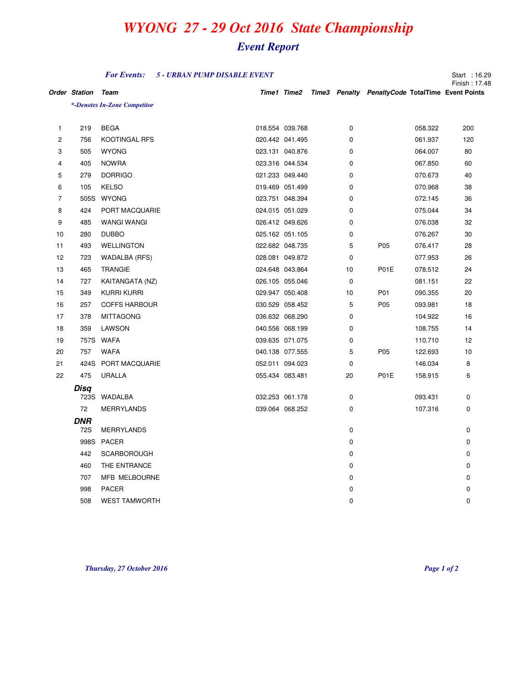## *WYONG 27 - 29 Oct 2016 State Championship*

## *Event Report*

|                |                      | <b>For Events:</b>           | 5 - URBAN PUMP DISABLE EVENT |                 |             |                                                               |         | Start: 16.29<br>Finish: 17.48 |
|----------------|----------------------|------------------------------|------------------------------|-----------------|-------------|---------------------------------------------------------------|---------|-------------------------------|
|                | <b>Order Station</b> | Team                         |                              |                 |             | Time1 Time2 Time3 Penalty Penalty Code TotalTime Event Points |         |                               |
|                |                      | *-Denotes In-Zone Competitor |                              |                 |             |                                                               |         |                               |
|                |                      |                              |                              |                 |             |                                                               |         |                               |
| $\mathbf{1}$   | 219                  | <b>BEGA</b>                  |                              | 018.554 039.768 | $\mathbf 0$ |                                                               | 058.322 | 200                           |
| 2              | 756                  | <b>KOOTINGAL RFS</b>         |                              | 020.442 041.495 | 0           |                                                               | 061.937 | 120                           |
| 3              | 505                  | <b>WYONG</b>                 |                              | 023.131 040.876 | 0           |                                                               | 064.007 | 80                            |
| 4              | 405                  | <b>NOWRA</b>                 |                              | 023.316 044.534 | 0           |                                                               | 067.850 | 60                            |
| 5              | 279                  | <b>DORRIGO</b>               |                              | 021.233 049.440 | 0           |                                                               | 070.673 | 40                            |
| 6              | 105                  | <b>KELSO</b>                 |                              | 019.469 051.499 | 0           |                                                               | 070.968 | 38                            |
| $\overline{7}$ | 505S                 | <b>WYONG</b>                 |                              | 023.751 048.394 | 0           |                                                               | 072.145 | 36                            |
| 8              | 424                  | PORT MACQUARIE               |                              | 024.015 051.029 | 0           |                                                               | 075.044 | 34                            |
| 9              | 485                  | <b>WANGI WANGI</b>           |                              | 026.412 049.626 | 0           |                                                               | 076.038 | 32                            |
| 10             | 280                  | <b>DUBBO</b>                 |                              | 025.162 051.105 | 0           |                                                               | 076.267 | 30                            |
| 11             | 493                  | <b>WELLINGTON</b>            |                              | 022.682 048.735 | 5           | P05                                                           | 076.417 | 28                            |
| 12             | 723                  | WADALBA (RFS)                |                              | 028.081 049.872 | 0           |                                                               | 077.953 | 26                            |
| 13             | 465                  | <b>TRANGIE</b>               |                              | 024.648 043.864 | 10          | P01E                                                          | 078.512 | 24                            |
| 14             | 727                  | KAITANGATA (NZ)              |                              | 026.105 055.046 | $\mathbf 0$ |                                                               | 081.151 | 22                            |
| 15             | 349                  | <b>KURRI KURRI</b>           |                              | 029.947 050.408 | 10          | P01                                                           | 090.355 | 20                            |
| 16             | 257                  | <b>COFFS HARBOUR</b>         |                              | 030.529 058.452 | 5           | P <sub>05</sub>                                               | 093.981 | 18                            |
| 17             | 378                  | <b>MITTAGONG</b>             |                              | 036.632 068.290 | 0           |                                                               | 104.922 | 16                            |
| 18             | 359                  | LAWSON                       |                              | 040.556 068.199 | 0           |                                                               | 108.755 | 14                            |
| 19             |                      | 757S WAFA                    |                              | 039.635 071.075 | 0           |                                                               | 110.710 | 12                            |
| 20             | 757                  | <b>WAFA</b>                  |                              | 040.138 077.555 | 5           | P05                                                           | 122.693 | 10                            |
| 21             |                      | 424S PORT MACQUARIE          |                              | 052.011 094.023 | 0           |                                                               | 146.034 | 8                             |
| 22             | 475                  | <b>URALLA</b>                |                              | 055.434 083.481 | 20          | P01E                                                          | 158.915 | 6                             |
|                | Disq                 | 723S WADALBA                 |                              | 032.253 061.178 | 0           |                                                               | 093.431 | 0                             |
|                | 72                   | <b>MERRYLANDS</b>            |                              | 039.064 068.252 | 0           |                                                               | 107.316 | 0                             |
|                |                      |                              |                              |                 |             |                                                               |         |                               |
|                | DNR<br>72S           | <b>MERRYLANDS</b>            |                              |                 | 0           |                                                               |         | 0                             |
|                |                      | 998S PACER                   |                              |                 | 0           |                                                               |         | 0                             |
|                | 442                  | <b>SCARBOROUGH</b>           |                              |                 | 0           |                                                               |         | 0                             |
|                | 460                  | THE ENTRANCE                 |                              |                 | 0           |                                                               |         | 0                             |
|                | 707                  | MFB MELBOURNE                |                              |                 | 0           |                                                               |         | 0                             |
|                | 998                  | <b>PACER</b>                 |                              |                 | 0           |                                                               |         | 0                             |
|                | 508                  | <b>WEST TAMWORTH</b>         |                              |                 | $\mathbf 0$ |                                                               |         | 0                             |

*Thursday, 27 October 2016 Page 1 of 2*